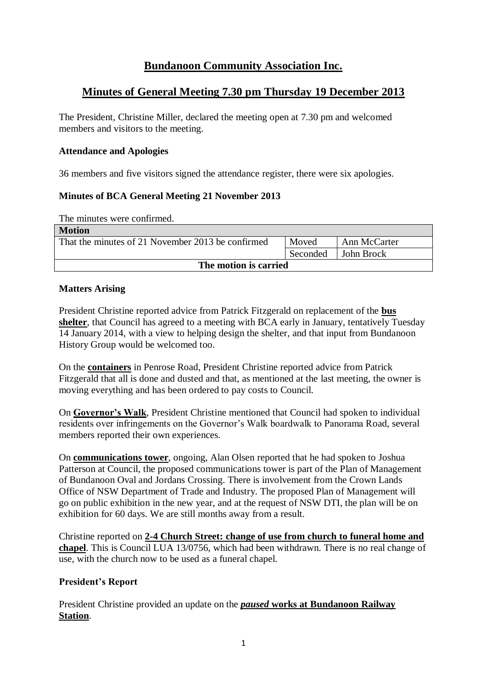# **Bundanoon Community Association Inc.**

# **Minutes of General Meeting 7.30 pm Thursday 19 December 2013**

The President, Christine Miller, declared the meeting open at 7.30 pm and welcomed members and visitors to the meeting.

### **Attendance and Apologies**

36 members and five visitors signed the attendance register, there were six apologies.

## **Minutes of BCA General Meeting 21 November 2013**

The minutes were confirmed.

| <b>Motion</b>                                     |          |              |  |
|---------------------------------------------------|----------|--------------|--|
| That the minutes of 21 November 2013 be confirmed | Moved    | Ann McCarter |  |
|                                                   | Seconded | John Brock   |  |
| The motion is carried                             |          |              |  |

## **Matters Arising**

President Christine reported advice from Patrick Fitzgerald on replacement of the **bus shelter**, that Council has agreed to a meeting with BCA early in January, tentatively Tuesday 14 January 2014, with a view to helping design the shelter, and that input from Bundanoon History Group would be welcomed too.

On the **containers** in Penrose Road, President Christine reported advice from Patrick Fitzgerald that all is done and dusted and that, as mentioned at the last meeting, the owner is moving everything and has been ordered to pay costs to Council.

On **Governor's Walk**, President Christine mentioned that Council had spoken to individual residents over infringements on the Governor's Walk boardwalk to Panorama Road, several members reported their own experiences.

On **communications tower**, ongoing, Alan Olsen reported that he had spoken to Joshua Patterson at Council, the proposed communications tower is part of the Plan of Management of Bundanoon Oval and Jordans Crossing. There is involvement from the Crown Lands Office of NSW Department of Trade and Industry. The proposed Plan of Management will go on public exhibition in the new year, and at the request of NSW DTI, the plan will be on exhibition for 60 days. We are still months away from a result.

Christine reported on **2-4 Church Street: change of use from church to funeral home and chapel**. This is Council LUA 13/0756, which had been withdrawn. There is no real change of use, with the church now to be used as a funeral chapel.

### **President's Report**

President Christine provided an update on the *paused* **works at Bundanoon Railway Station**.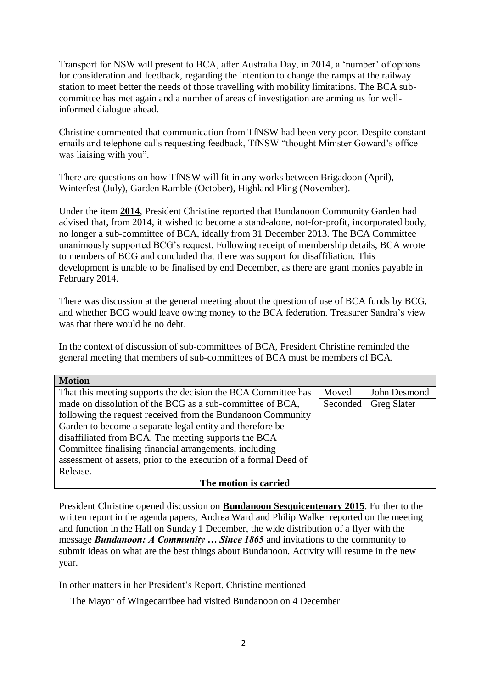Transport for NSW will present to BCA, after Australia Day, in 2014, a 'number' of options for consideration and feedback, regarding the intention to change the ramps at the railway station to meet better the needs of those travelling with mobility limitations. The BCA subcommittee has met again and a number of areas of investigation are arming us for wellinformed dialogue ahead.

Christine commented that communication from TfNSW had been very poor. Despite constant emails and telephone calls requesting feedback, TfNSW "thought Minister Goward's office was liaising with you".

There are questions on how TfNSW will fit in any works between Brigadoon (April), Winterfest (July), Garden Ramble (October), Highland Fling (November).

Under the item **2014**, President Christine reported that Bundanoon Community Garden had advised that, from 2014, it wished to become a stand-alone, not-for-profit, incorporated body, no longer a sub-committee of BCA, ideally from 31 December 2013. The BCA Committee unanimously supported BCG's request. Following receipt of membership details, BCA wrote to members of BCG and concluded that there was support for disaffiliation. This development is unable to be finalised by end December, as there are grant monies payable in February 2014.

There was discussion at the general meeting about the question of use of BCA funds by BCG, and whether BCG would leave owing money to the BCA federation. Treasurer Sandra's view was that there would be no debt.

In the context of discussion of sub-committees of BCA, President Christine reminded the general meeting that members of sub-committees of BCA must be members of BCA.

| <b>Motion</b>                                                    |       |                    |  |  |  |
|------------------------------------------------------------------|-------|--------------------|--|--|--|
| That this meeting supports the decision the BCA Committee has    | Moved | John Desmond       |  |  |  |
| made on dissolution of the BCG as a sub-committee of BCA,        |       | <b>Greg Slater</b> |  |  |  |
| following the request received from the Bundanoon Community      |       |                    |  |  |  |
| Garden to become a separate legal entity and therefore be        |       |                    |  |  |  |
| disaffiliated from BCA. The meeting supports the BCA             |       |                    |  |  |  |
| Committee finalising financial arrangements, including           |       |                    |  |  |  |
| assessment of assets, prior to the execution of a formal Deed of |       |                    |  |  |  |
| Release.                                                         |       |                    |  |  |  |
| The motion is carried                                            |       |                    |  |  |  |

President Christine opened discussion on **Bundanoon Sesquicentenary 2015**. Further to the written report in the agenda papers, Andrea Ward and Philip Walker reported on the meeting and function in the Hall on Sunday 1 December, the wide distribution of a flyer with the message *Bundanoon: A Community … Since 1865* and invitations to the community to submit ideas on what are the best things about Bundanoon. Activity will resume in the new year.

In other matters in her President's Report, Christine mentioned

The Mayor of Wingecarribee had visited Bundanoon on 4 December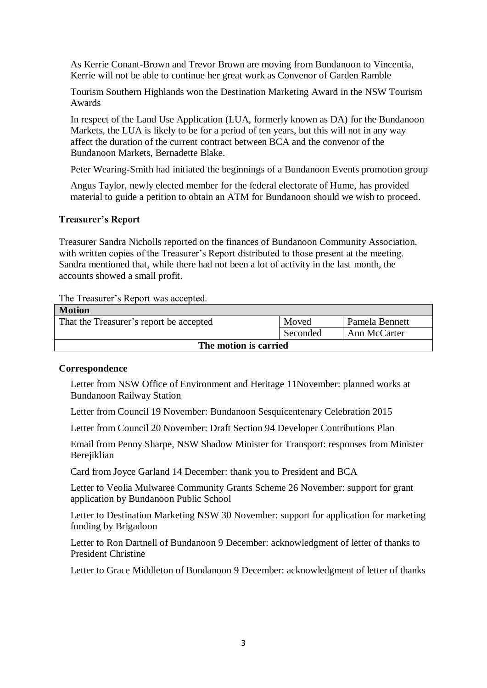As Kerrie Conant-Brown and Trevor Brown are moving from Bundanoon to Vincentia, Kerrie will not be able to continue her great work as Convenor of Garden Ramble

Tourism Southern Highlands won the Destination Marketing Award in the NSW Tourism Awards

In respect of the Land Use Application (LUA, formerly known as DA) for the Bundanoon Markets, the LUA is likely to be for a period of ten years, but this will not in any way affect the duration of the current contract between BCA and the convenor of the Bundanoon Markets, Bernadette Blake.

Peter Wearing-Smith had initiated the beginnings of a Bundanoon Events promotion group

Angus Taylor, newly elected member for the federal electorate of Hume, has provided material to guide a petition to obtain an ATM for Bundanoon should we wish to proceed.

### **Treasurer's Report**

Treasurer Sandra Nicholls reported on the finances of Bundanoon Community Association, with written copies of the Treasurer's Report distributed to those present at the meeting. Sandra mentioned that, while there had not been a lot of activity in the last month, the accounts showed a small profit.

#### The Treasurer's Report was accepted.

| <b>Motion</b>                           |          |                |  |
|-----------------------------------------|----------|----------------|--|
| That the Treasurer's report be accepted | Moved    | Pamela Bennett |  |
|                                         | Seconded | Ann McCarter   |  |
| The motion is carried                   |          |                |  |

#### **Correspondence**

Letter from NSW Office of Environment and Heritage 11November: planned works at Bundanoon Railway Station

Letter from Council 19 November: Bundanoon Sesquicentenary Celebration 2015

Letter from Council 20 November: Draft Section 94 Developer Contributions Plan

Email from Penny Sharpe, NSW Shadow Minister for Transport: responses from Minister Berejiklian

Card from Joyce Garland 14 December: thank you to President and BCA

Letter to Veolia Mulwaree Community Grants Scheme 26 November: support for grant application by Bundanoon Public School

Letter to Destination Marketing NSW 30 November: support for application for marketing funding by Brigadoon

Letter to Ron Dartnell of Bundanoon 9 December: acknowledgment of letter of thanks to President Christine

Letter to Grace Middleton of Bundanoon 9 December: acknowledgment of letter of thanks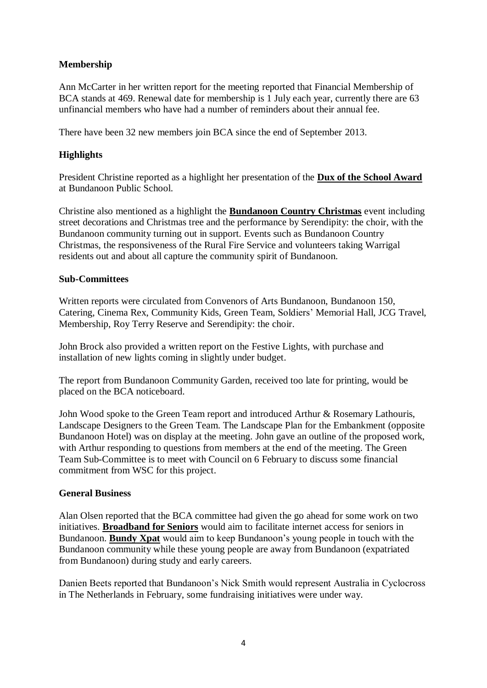# **Membership**

Ann McCarter in her written report for the meeting reported that Financial Membership of BCA stands at 469. Renewal date for membership is 1 July each year, currently there are 63 unfinancial members who have had a number of reminders about their annual fee.

There have been 32 new members join BCA since the end of September 2013.

# **Highlights**

President Christine reported as a highlight her presentation of the **Dux of the School Award** at Bundanoon Public School.

Christine also mentioned as a highlight the **Bundanoon Country Christmas** event including street decorations and Christmas tree and the performance by Serendipity: the choir, with the Bundanoon community turning out in support. Events such as Bundanoon Country Christmas, the responsiveness of the Rural Fire Service and volunteers taking Warrigal residents out and about all capture the community spirit of Bundanoon.

## **Sub-Committees**

Written reports were circulated from Convenors of Arts Bundanoon, Bundanoon 150, Catering, Cinema Rex, Community Kids, Green Team, Soldiers' Memorial Hall, JCG Travel, Membership, Roy Terry Reserve and Serendipity: the choir.

John Brock also provided a written report on the Festive Lights, with purchase and installation of new lights coming in slightly under budget.

The report from Bundanoon Community Garden, received too late for printing, would be placed on the BCA noticeboard.

John Wood spoke to the Green Team report and introduced Arthur & Rosemary Lathouris, Landscape Designers to the Green Team. The Landscape Plan for the Embankment (opposite Bundanoon Hotel) was on display at the meeting. John gave an outline of the proposed work, with Arthur responding to questions from members at the end of the meeting. The Green Team Sub-Committee is to meet with Council on 6 February to discuss some financial commitment from WSC for this project.

# **General Business**

Alan Olsen reported that the BCA committee had given the go ahead for some work on two initiatives. **Broadband for Seniors** would aim to facilitate internet access for seniors in Bundanoon. **Bundy Xpat** would aim to keep Bundanoon's young people in touch with the Bundanoon community while these young people are away from Bundanoon (expatriated from Bundanoon) during study and early careers.

Danien Beets reported that Bundanoon's Nick Smith would represent Australia in Cyclocross in The Netherlands in February, some fundraising initiatives were under way.